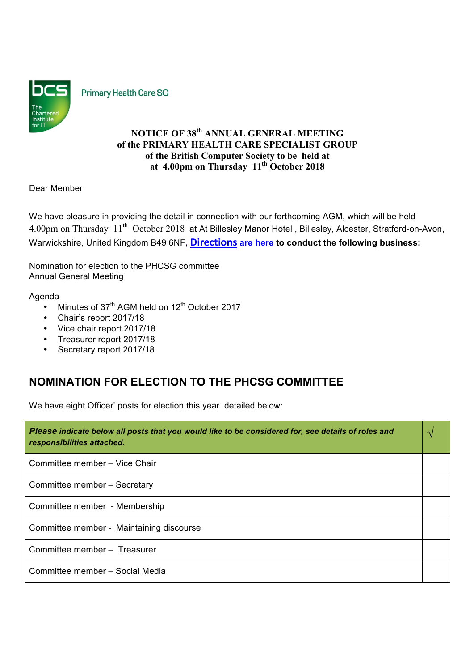

**Primary Health Care SG** 

# **NOTICE OF 38th ANNUAL GENERAL MEETING of the PRIMARY HEALTH CARE SPECIALIST GROUP of the British Computer Society to be held at at 4.00pm on Thursday 11th October 2018**

Dear Member

We have pleasure in providing the detail in connection with our forthcoming AGM, which will be held 4.00pm on Thursday 11<sup>th</sup> October 2018 at At Billesley Manor Hotel, Billesley, Alcester, Stratford-on-Avon, Warwickshire, United Kingdom B49 6NF**, Directions are here to conduct the following business:**

Nomination for election to the PHCSG committee Annual General Meeting

### Agenda

- Minutes of  $37<sup>th</sup>$  AGM held on  $12<sup>th</sup>$  October 2017
- Chair's report 2017/18
- Vice chair report 2017/18
- Treasurer report 2017/18
- Secretary report 2017/18

# **NOMINATION FOR ELECTION TO THE PHCSG COMMITTEE**

We have eight Officer' posts for election this year detailed below:

| Please indicate below all posts that you would like to be considered for, see details of roles and<br>responsibilities attached. |  |
|----------------------------------------------------------------------------------------------------------------------------------|--|
| Committee member - Vice Chair                                                                                                    |  |
| Committee member - Secretary                                                                                                     |  |
| Committee member - Membership                                                                                                    |  |
| Committee member - Maintaining discourse                                                                                         |  |
| Committee member - Treasurer                                                                                                     |  |
| Committee member - Social Media                                                                                                  |  |